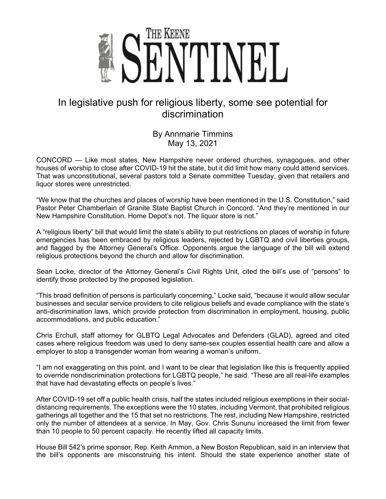

## In legislative push for religious liberty, some see potential for discrimination

By Annmarie Timmins May 13, 2021

CONCORD — Like most states, New Hampshire never ordered churches, synagogues, and other houses of worship to close after COVID-19 hit the state, but it did limit how many could attend services. That was unconstitutional, several pastors told a Senate committee Tuesday, given that retailers and liquor stores were unrestricted.

"We know that the churches and places of worship have been mentioned in the U.S. Constitution," said Pastor Peter Chamberlain of Granite State Baptist Church in Concord. "And they're mentioned in our New Hampshire Constitution. Home Depot's not. The liquor store is not."

A "religious liberty" bill that would limit the state's ability to put restrictions on places of worship in future emergencies has been embraced by religious leaders, rejected by LGBTQ and civil liberties groups, and flagged by the Attorney General's Office. Opponents argue the language of the bill will extend religious protections beyond the church and allow for discrimination.

Sean Locke, director of the Attorney General's Civil Rights Unit, cited the bill's use of "persons" to identify those protected by the proposed legislation.

"This broad definition of persons is particularly concerning," Locke said, "because it would allow secular businesses and secular service providers to cite religious beliefs and evade compliance with the state's anti-discrimination laws, which provide protection from discrimination in employment, housing, public accommodations, and public education."

Chris Erchull, staff attorney for GLBTQ Legal Advocates and Defenders (GLAD), agreed and cited cases where religious freedom was used to deny same-sex couples essential health care and allow a employer to stop a transgender woman from wearing a woman's uniform.

"I am not exaggerating on this point, and I want to be clear that legislation like this is frequently applied to override nondiscrimination protections for LGBTQ people," he said. "These are all real-life examples that have had devastating effects on people's lives."

After COVID-19 set off a public health crisis, half the states included religious exemptions in their socialdistancing requirements. The exceptions were the 10 states, including Vermont, that prohibited religious gatherings all together and the 15 that set no restrictions. The rest, including New Hampshire, restricted only the number of attendees at a service. In May, Gov. Chris Sununu increased the limit from fewer than 10 people to 50 percent capacity. He recently lifted all capacity limits.

House Bill 542's prime sponsor, Rep. Keith Ammon, a New Boston Republican, said in an interview that the bill's opponents are misconstruing his intent. Should the state experience another state of